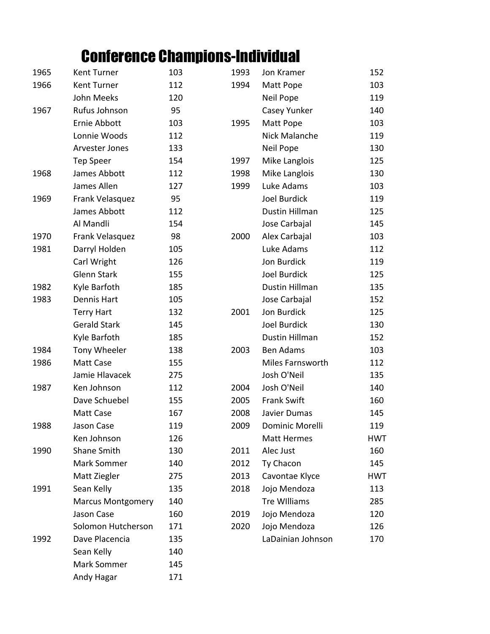## Conference Champions-Individual

| 1965 | Kent Turner              | 103 | 1993 | Jon Kramer          | 152        |
|------|--------------------------|-----|------|---------------------|------------|
| 1966 | Kent Turner              | 112 | 1994 | Matt Pope           | 103        |
|      | John Meeks               | 120 |      | Neil Pope           | 119        |
| 1967 | Rufus Johnson            | 95  |      | Casey Yunker        | 140        |
|      | Ernie Abbott             | 103 | 1995 | Matt Pope           | 103        |
|      | Lonnie Woods             | 112 |      | Nick Malanche       | 119        |
|      | Arvester Jones           | 133 |      | Neil Pope           | 130        |
|      | <b>Tep Speer</b>         | 154 | 1997 | Mike Langlois       | 125        |
| 1968 | James Abbott             | 112 | 1998 | Mike Langlois       | 130        |
|      | James Allen              | 127 | 1999 | Luke Adams          | 103        |
| 1969 | Frank Velasquez          | 95  |      | Joel Burdick        | 119        |
|      | James Abbott             | 112 |      | Dustin Hillman      | 125        |
|      | Al Mandli                | 154 |      | Jose Carbajal       | 145        |
| 1970 | Frank Velasquez          | 98  | 2000 | Alex Carbajal       | 103        |
| 1981 | Darryl Holden            | 105 |      | Luke Adams          | 112        |
|      | Carl Wright              | 126 |      | Jon Burdick         | 119        |
|      | Glenn Stark              | 155 |      | Joel Burdick        | 125        |
| 1982 | Kyle Barfoth             | 185 |      | Dustin Hillman      | 135        |
| 1983 | Dennis Hart              | 105 |      | Jose Carbajal       | 152        |
|      | <b>Terry Hart</b>        | 132 | 2001 | Jon Burdick         | 125        |
|      | <b>Gerald Stark</b>      | 145 |      | Joel Burdick        | 130        |
|      | Kyle Barfoth             | 185 |      | Dustin Hillman      | 152        |
| 1984 | Tony Wheeler             | 138 | 2003 | <b>Ben Adams</b>    | 103        |
| 1986 | Matt Case                | 155 |      | Miles Farnsworth    | 112        |
|      | Jamie Hlavacek           | 275 |      | Josh O'Neil         | 135        |
| 1987 | Ken Johnson              | 112 | 2004 | Josh O'Neil         | 140        |
|      | Dave Schuebel            | 155 | 2005 | <b>Frank Swift</b>  | 160        |
|      | Matt Case                | 167 | 2008 | Javier Dumas        | 145        |
| 1988 | Jason Case               | 119 | 2009 | Dominic Morelli     | 119        |
|      | Ken Johnson              | 126 |      | <b>Matt Hermes</b>  | <b>HWT</b> |
| 1990 | <b>Shane Smith</b>       | 130 | 2011 | Alec Just           | 160        |
|      | Mark Sommer              | 140 | 2012 | Ty Chacon           | 145        |
|      | Matt Ziegler             | 275 | 2013 | Cavontae Klyce      | <b>HWT</b> |
| 1991 | Sean Kelly               | 135 | 2018 | Jojo Mendoza        | 113        |
|      | <b>Marcus Montgomery</b> | 140 |      | <b>Tre Williams</b> | 285        |
|      | Jason Case               | 160 | 2019 | Jojo Mendoza        | 120        |
|      | Solomon Hutcherson       | 171 | 2020 | Jojo Mendoza        | 126        |
| 1992 | Dave Placencia           | 135 |      | LaDainian Johnson   | 170        |
|      | Sean Kelly               | 140 |      |                     |            |
|      | Mark Sommer              | 145 |      |                     |            |
|      | Andy Hagar               | 171 |      |                     |            |